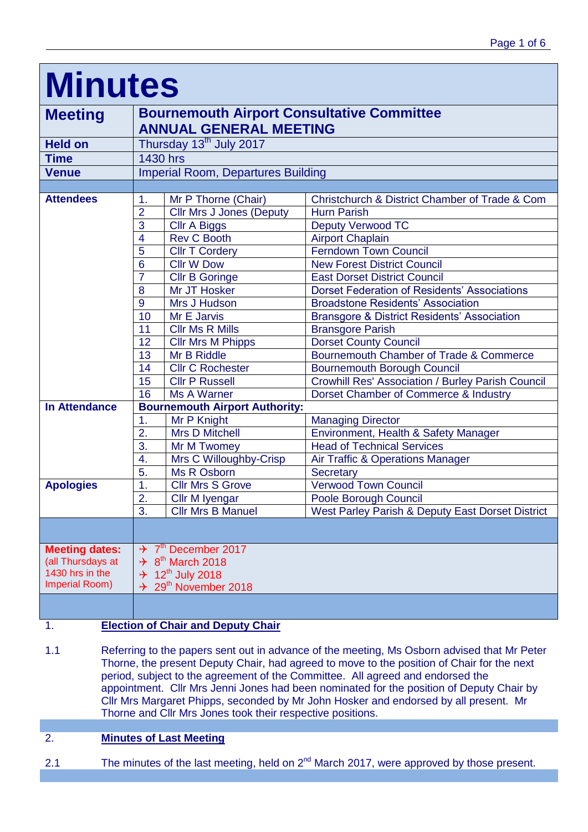| <b>Minutes</b>        |                                                                                    |                                       |                                                          |  |  |  |  |
|-----------------------|------------------------------------------------------------------------------------|---------------------------------------|----------------------------------------------------------|--|--|--|--|
| <b>Meeting</b>        | <b>Bournemouth Airport Consultative Committee</b><br><b>ANNUAL GENERAL MEETING</b> |                                       |                                                          |  |  |  |  |
| <b>Held on</b>        |                                                                                    | Thursday 13 <sup>th</sup> July 2017   |                                                          |  |  |  |  |
| <b>Time</b>           | <b>1430 hrs</b>                                                                    |                                       |                                                          |  |  |  |  |
| <b>Venue</b>          | <b>Imperial Room, Departures Building</b>                                          |                                       |                                                          |  |  |  |  |
|                       |                                                                                    |                                       |                                                          |  |  |  |  |
| <b>Attendees</b>      | 1.                                                                                 | Mr P Thorne (Chair)                   | Christchurch & District Chamber of Trade & Com           |  |  |  |  |
|                       | $\overline{2}$                                                                     | <b>Cllr Mrs J Jones (Deputy</b>       | <b>Hurn Parish</b>                                       |  |  |  |  |
|                       | 3                                                                                  | <b>Cllr A Biggs</b>                   | <b>Deputy Verwood TC</b>                                 |  |  |  |  |
|                       | $\overline{4}$                                                                     | <b>Rev C Booth</b>                    | <b>Airport Chaplain</b>                                  |  |  |  |  |
|                       | 5                                                                                  | <b>Cllr T Cordery</b>                 | <b>Ferndown Town Council</b>                             |  |  |  |  |
|                       | 6                                                                                  | <b>Cllr W Dow</b>                     | <b>New Forest District Council</b>                       |  |  |  |  |
|                       | $\overline{7}$                                                                     | <b>Cllr B Goringe</b>                 | <b>East Dorset District Council</b>                      |  |  |  |  |
|                       | 8                                                                                  | Mr JT Hosker                          | <b>Dorset Federation of Residents' Associations</b>      |  |  |  |  |
|                       | 9                                                                                  | Mrs J Hudson                          | <b>Broadstone Residents' Association</b>                 |  |  |  |  |
|                       | 10                                                                                 | Mr E Jarvis                           | <b>Bransgore &amp; District Residents' Association</b>   |  |  |  |  |
|                       | 11                                                                                 | <b>Cllr Ms R Mills</b>                | <b>Bransgore Parish</b>                                  |  |  |  |  |
|                       | 12                                                                                 | <b>Cllr Mrs M Phipps</b>              | <b>Dorset County Council</b>                             |  |  |  |  |
|                       | 13                                                                                 | Mr B Riddle                           | Bournemouth Chamber of Trade & Commerce                  |  |  |  |  |
|                       | 14                                                                                 | <b>Cllr C Rochester</b>               | <b>Bournemouth Borough Council</b>                       |  |  |  |  |
|                       | 15                                                                                 | <b>Cllr P Russell</b>                 | <b>Crowhill Res' Association / Burley Parish Council</b> |  |  |  |  |
|                       | 16                                                                                 | Ms A Warner                           | Dorset Chamber of Commerce & Industry                    |  |  |  |  |
| <b>In Attendance</b>  |                                                                                    | <b>Bournemouth Airport Authority:</b> |                                                          |  |  |  |  |
|                       | 1.                                                                                 | Mr P Knight                           | <b>Managing Director</b>                                 |  |  |  |  |
|                       | 2.                                                                                 | <b>Mrs D Mitchell</b>                 | Environment, Health & Safety Manager                     |  |  |  |  |
|                       | 3.                                                                                 | Mr M Twomey                           | <b>Head of Technical Services</b>                        |  |  |  |  |
|                       | 4.                                                                                 | Mrs C Willoughby-Crisp                | Air Traffic & Operations Manager                         |  |  |  |  |
|                       | 5.                                                                                 | Ms R Osborn                           | Secretary                                                |  |  |  |  |
| <b>Apologies</b>      | 1.                                                                                 | <b>Cllr Mrs S Grove</b>               | <b>Verwood Town Council</b>                              |  |  |  |  |
|                       | 2.<br>3.                                                                           | Cllr M Iyengar                        | Poole Borough Council                                    |  |  |  |  |
|                       |                                                                                    | <b>Cllr Mrs B Manuel</b>              | West Parley Parish & Deputy East Dorset District         |  |  |  |  |
|                       |                                                                                    |                                       |                                                          |  |  |  |  |
| <b>Meeting dates:</b> | $\div$ 7 <sup>th</sup> December 2017                                               |                                       |                                                          |  |  |  |  |
| (all Thursdays at     | $\div$ 8 <sup>th</sup> March 2018                                                  |                                       |                                                          |  |  |  |  |
| 1430 hrs in the       | $+ 12^{th}$ July 2018                                                              |                                       |                                                          |  |  |  |  |
| Imperial Room)        |                                                                                    | $\div$ 29 <sup>th</sup> November 2018 |                                                          |  |  |  |  |
|                       |                                                                                    |                                       |                                                          |  |  |  |  |

## 1. **Election of Chair and Deputy Chair**

1.1 Referring to the papers sent out in advance of the meeting, Ms Osborn advised that Mr Peter Thorne, the present Deputy Chair, had agreed to move to the position of Chair for the next period, subject to the agreement of the Committee. All agreed and endorsed the appointment. Cllr Mrs Jenni Jones had been nominated for the position of Deputy Chair by Cllr Mrs Margaret Phipps, seconded by Mr John Hosker and endorsed by all present. Mr Thorne and Cllr Mrs Jones took their respective positions.

## 2. **Minutes of Last Meeting**

2.1 The minutes of the last meeting, held on  $2^{nd}$  March 2017, were approved by those present.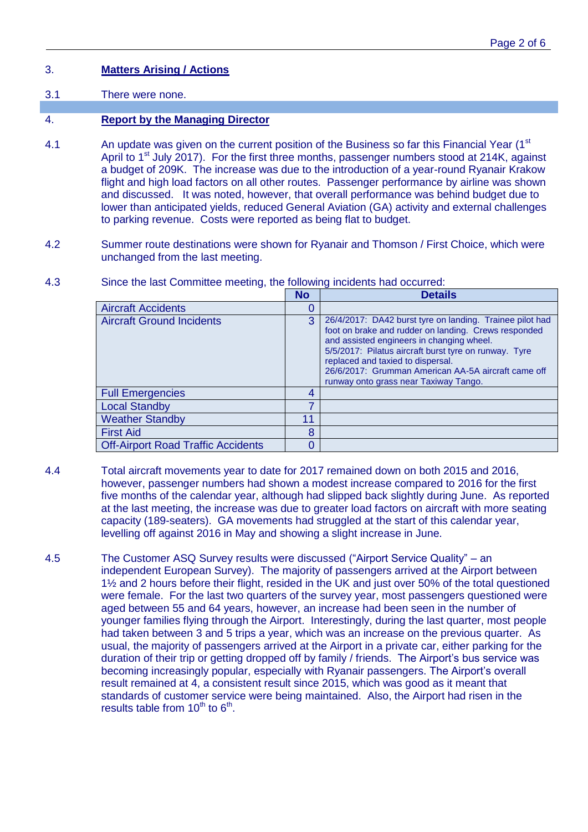# 3. **Matters Arising / Actions**

#### 3.1 There were none.

## 4. **Report by the Managing Director**

- 4.1 An update was given on the current position of the Business so far this Financial Year (1<sup>st</sup>) April to  $1<sup>st</sup>$  July 2017). For the first three months, passenger numbers stood at 214K, against a budget of 209K. The increase was due to the introduction of a year-round Ryanair Krakow flight and high load factors on all other routes. Passenger performance by airline was shown and discussed. It was noted, however, that overall performance was behind budget due to lower than anticipated yields, reduced General Aviation (GA) activity and external challenges to parking revenue. Costs were reported as being flat to budget.
- 4.2 Summer route destinations were shown for Ryanair and Thomson / First Choice, which were unchanged from the last meeting.

|                                           | <b>No</b> | <b>Details</b>                                                                                                                                                                                                                                                                                                                                              |
|-------------------------------------------|-----------|-------------------------------------------------------------------------------------------------------------------------------------------------------------------------------------------------------------------------------------------------------------------------------------------------------------------------------------------------------------|
| <b>Aircraft Accidents</b>                 |           |                                                                                                                                                                                                                                                                                                                                                             |
| <b>Aircraft Ground Incidents</b>          | 3         | 26/4/2017: DA42 burst tyre on landing. Trainee pilot had<br>foot on brake and rudder on landing. Crews responded<br>and assisted engineers in changing wheel.<br>5/5/2017: Pilatus aircraft burst tyre on runway. Tyre<br>replaced and taxied to dispersal.<br>26/6/2017: Grumman American AA-5A aircraft came off<br>runway onto grass near Taxiway Tango. |
| <b>Full Emergencies</b>                   | 4         |                                                                                                                                                                                                                                                                                                                                                             |
| <b>Local Standby</b>                      |           |                                                                                                                                                                                                                                                                                                                                                             |
| <b>Weather Standby</b>                    | 11        |                                                                                                                                                                                                                                                                                                                                                             |
| <b>First Aid</b>                          | 8         |                                                                                                                                                                                                                                                                                                                                                             |
| <b>Off-Airport Road Traffic Accidents</b> |           |                                                                                                                                                                                                                                                                                                                                                             |

4.3 Since the last Committee meeting, the following incidents had occurred:

- 4.4 Total aircraft movements year to date for 2017 remained down on both 2015 and 2016, however, passenger numbers had shown a modest increase compared to 2016 for the first five months of the calendar year, although had slipped back slightly during June. As reported at the last meeting, the increase was due to greater load factors on aircraft with more seating capacity (189-seaters). GA movements had struggled at the start of this calendar year, levelling off against 2016 in May and showing a slight increase in June.
- 4.5 The Customer ASQ Survey results were discussed ("Airport Service Quality" an independent European Survey). The majority of passengers arrived at the Airport between 1½ and 2 hours before their flight, resided in the UK and just over 50% of the total questioned were female. For the last two quarters of the survey year, most passengers questioned were aged between 55 and 64 years, however, an increase had been seen in the number of younger families flying through the Airport. Interestingly, during the last quarter, most people had taken between 3 and 5 trips a year, which was an increase on the previous quarter. As usual, the majority of passengers arrived at the Airport in a private car, either parking for the duration of their trip or getting dropped off by family / friends. The Airport's bus service was becoming increasingly popular, especially with Ryanair passengers. The Airport's overall result remained at 4, a consistent result since 2015, which was good as it meant that standards of customer service were being maintained. Also, the Airport had risen in the results table from  $10^{th}$  to  $6^{th}$ .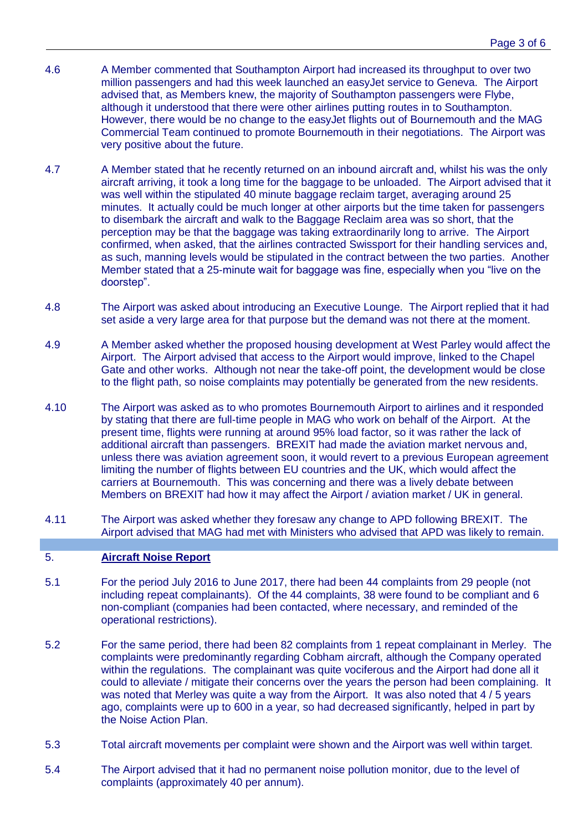- 4.6 A Member commented that Southampton Airport had increased its throughput to over two million passengers and had this week launched an easyJet service to Geneva. The Airport advised that, as Members knew, the majority of Southampton passengers were Flybe, although it understood that there were other airlines putting routes in to Southampton. However, there would be no change to the easyJet flights out of Bournemouth and the MAG Commercial Team continued to promote Bournemouth in their negotiations. The Airport was very positive about the future.
- 4.7 A Member stated that he recently returned on an inbound aircraft and, whilst his was the only aircraft arriving, it took a long time for the baggage to be unloaded. The Airport advised that it was well within the stipulated 40 minute baggage reclaim target, averaging around 25 minutes. It actually could be much longer at other airports but the time taken for passengers to disembark the aircraft and walk to the Baggage Reclaim area was so short, that the perception may be that the baggage was taking extraordinarily long to arrive. The Airport confirmed, when asked, that the airlines contracted Swissport for their handling services and, as such, manning levels would be stipulated in the contract between the two parties. Another Member stated that a 25-minute wait for baggage was fine, especially when you "live on the doorstep".
- 4.8 The Airport was asked about introducing an Executive Lounge. The Airport replied that it had set aside a very large area for that purpose but the demand was not there at the moment.
- 4.9 A Member asked whether the proposed housing development at West Parley would affect the Airport. The Airport advised that access to the Airport would improve, linked to the Chapel Gate and other works. Although not near the take-off point, the development would be close to the flight path, so noise complaints may potentially be generated from the new residents.
- 4.10 The Airport was asked as to who promotes Bournemouth Airport to airlines and it responded by stating that there are full-time people in MAG who work on behalf of the Airport. At the present time, flights were running at around 95% load factor, so it was rather the lack of additional aircraft than passengers. BREXIT had made the aviation market nervous and, unless there was aviation agreement soon, it would revert to a previous European agreement limiting the number of flights between EU countries and the UK, which would affect the carriers at Bournemouth. This was concerning and there was a lively debate between Members on BREXIT had how it may affect the Airport / aviation market / UK in general.
- 4.11 The Airport was asked whether they foresaw any change to APD following BREXIT. The Airport advised that MAG had met with Ministers who advised that APD was likely to remain.

### 5. **Aircraft Noise Report**

- 5.1 For the period July 2016 to June 2017, there had been 44 complaints from 29 people (not including repeat complainants). Of the 44 complaints, 38 were found to be compliant and 6 non-compliant (companies had been contacted, where necessary, and reminded of the operational restrictions).
- 5.2 For the same period, there had been 82 complaints from 1 repeat complainant in Merley. The complaints were predominantly regarding Cobham aircraft, although the Company operated within the regulations. The complainant was quite vociferous and the Airport had done all it could to alleviate / mitigate their concerns over the years the person had been complaining. It was noted that Merley was quite a way from the Airport. It was also noted that 4 / 5 years ago, complaints were up to 600 in a year, so had decreased significantly, helped in part by the Noise Action Plan.
- 5.3 Total aircraft movements per complaint were shown and the Airport was well within target.
- 5.4 The Airport advised that it had no permanent noise pollution monitor, due to the level of complaints (approximately 40 per annum).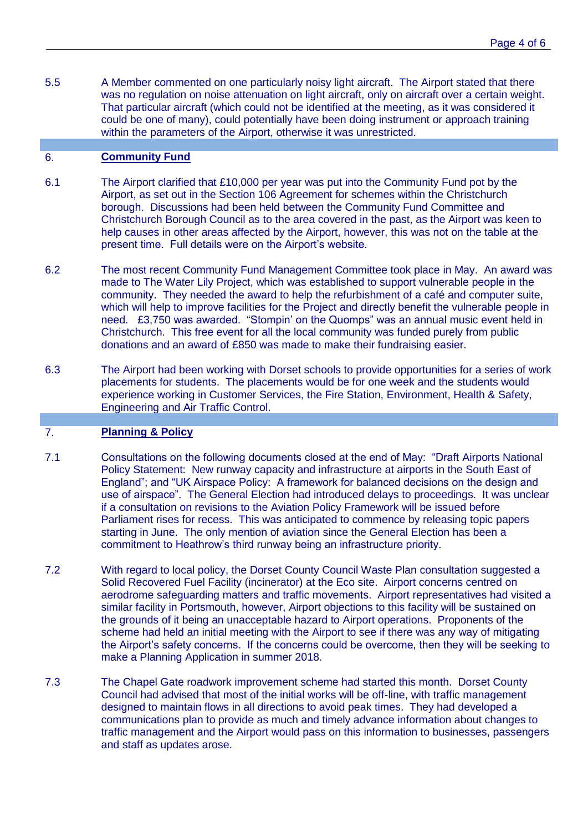5.5 A Member commented on one particularly noisy light aircraft. The Airport stated that there was no regulation on noise attenuation on light aircraft, only on aircraft over a certain weight. That particular aircraft (which could not be identified at the meeting, as it was considered it could be one of many), could potentially have been doing instrument or approach training within the parameters of the Airport, otherwise it was unrestricted.

### 6. **Community Fund**

- 6.1 The Airport clarified that £10,000 per year was put into the Community Fund pot by the Airport, as set out in the Section 106 Agreement for schemes within the Christchurch borough. Discussions had been held between the Community Fund Committee and Christchurch Borough Council as to the area covered in the past, as the Airport was keen to help causes in other areas affected by the Airport, however, this was not on the table at the present time. Full details were on the Airport's website.
- 6.2 The most recent Community Fund Management Committee took place in May. An award was made to The Water Lily Project, which was established to support vulnerable people in the community. They needed the award to help the refurbishment of a café and computer suite, which will help to improve facilities for the Project and directly benefit the vulnerable people in need. £3,750 was awarded. "Stompin' on the Quomps" was an annual music event held in Christchurch. This free event for all the local community was funded purely from public donations and an award of £850 was made to make their fundraising easier.
- 6.3 The Airport had been working with Dorset schools to provide opportunities for a series of work placements for students. The placements would be for one week and the students would experience working in Customer Services, the Fire Station, Environment, Health & Safety, Engineering and Air Traffic Control.

# 7. **Planning & Policy**

- 7.1 Consultations on the following documents closed at the end of May: "Draft Airports National Policy Statement: New runway capacity and infrastructure at airports in the South East of England"; and "UK Airspace Policy: A framework for balanced decisions on the design and use of airspace". The General Election had introduced delays to proceedings. It was unclear if a consultation on revisions to the Aviation Policy Framework will be issued before Parliament rises for recess. This was anticipated to commence by releasing topic papers starting in June. The only mention of aviation since the General Election has been a commitment to Heathrow's third runway being an infrastructure priority.
- 7.2 With regard to local policy, the Dorset County Council Waste Plan consultation suggested a Solid Recovered Fuel Facility (incinerator) at the Eco site. Airport concerns centred on aerodrome safeguarding matters and traffic movements. Airport representatives had visited a similar facility in Portsmouth, however, Airport objections to this facility will be sustained on the grounds of it being an unacceptable hazard to Airport operations. Proponents of the scheme had held an initial meeting with the Airport to see if there was any way of mitigating the Airport's safety concerns. If the concerns could be overcome, then they will be seeking to make a Planning Application in summer 2018.
- 7.3 The Chapel Gate roadwork improvement scheme had started this month. Dorset County Council had advised that most of the initial works will be off-line, with traffic management designed to maintain flows in all directions to avoid peak times. They had developed a communications plan to provide as much and timely advance information about changes to traffic management and the Airport would pass on this information to businesses, passengers and staff as updates arose.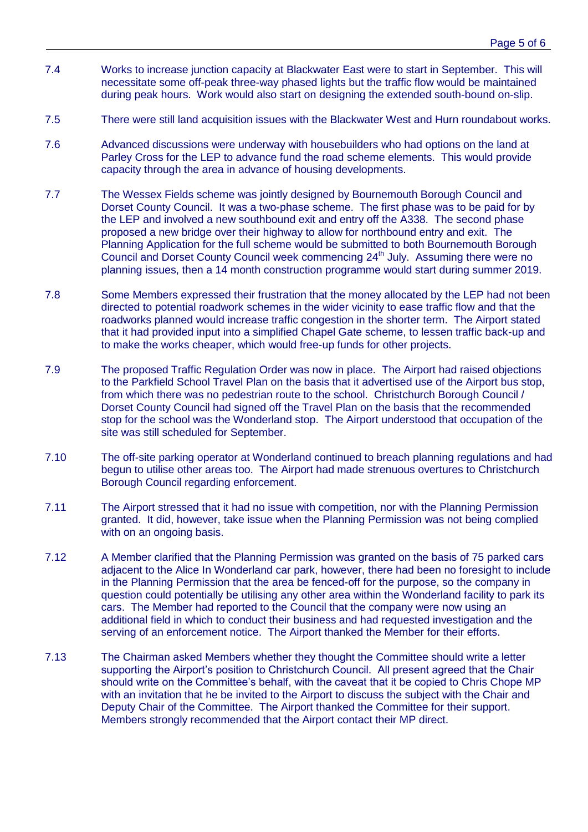- 7.4 Works to increase junction capacity at Blackwater East were to start in September. This will necessitate some off-peak three-way phased lights but the traffic flow would be maintained during peak hours. Work would also start on designing the extended south-bound on-slip.
- 7.5 There were still land acquisition issues with the Blackwater West and Hurn roundabout works.
- 7.6 Advanced discussions were underway with housebuilders who had options on the land at Parley Cross for the LEP to advance fund the road scheme elements. This would provide capacity through the area in advance of housing developments.
- 7.7 The Wessex Fields scheme was jointly designed by Bournemouth Borough Council and Dorset County Council. It was a two-phase scheme. The first phase was to be paid for by the LEP and involved a new southbound exit and entry off the A338. The second phase proposed a new bridge over their highway to allow for northbound entry and exit. The Planning Application for the full scheme would be submitted to both Bournemouth Borough Council and Dorset County Council week commencing 24<sup>th</sup> July. Assuming there were no planning issues, then a 14 month construction programme would start during summer 2019.
- 7.8 Some Members expressed their frustration that the money allocated by the LEP had not been directed to potential roadwork schemes in the wider vicinity to ease traffic flow and that the roadworks planned would increase traffic congestion in the shorter term. The Airport stated that it had provided input into a simplified Chapel Gate scheme, to lessen traffic back-up and to make the works cheaper, which would free-up funds for other projects.
- 7.9 The proposed Traffic Regulation Order was now in place. The Airport had raised objections to the Parkfield School Travel Plan on the basis that it advertised use of the Airport bus stop, from which there was no pedestrian route to the school. Christchurch Borough Council / Dorset County Council had signed off the Travel Plan on the basis that the recommended stop for the school was the Wonderland stop. The Airport understood that occupation of the site was still scheduled for September.
- 7.10 The off-site parking operator at Wonderland continued to breach planning regulations and had begun to utilise other areas too. The Airport had made strenuous overtures to Christchurch Borough Council regarding enforcement.
- 7.11 The Airport stressed that it had no issue with competition, nor with the Planning Permission granted. It did, however, take issue when the Planning Permission was not being complied with on an ongoing basis.
- 7.12 A Member clarified that the Planning Permission was granted on the basis of 75 parked cars adjacent to the Alice In Wonderland car park, however, there had been no foresight to include in the Planning Permission that the area be fenced-off for the purpose, so the company in question could potentially be utilising any other area within the Wonderland facility to park its cars. The Member had reported to the Council that the company were now using an additional field in which to conduct their business and had requested investigation and the serving of an enforcement notice. The Airport thanked the Member for their efforts.
- 7.13 The Chairman asked Members whether they thought the Committee should write a letter supporting the Airport's position to Christchurch Council. All present agreed that the Chair should write on the Committee's behalf, with the caveat that it be copied to Chris Chope MP with an invitation that he be invited to the Airport to discuss the subject with the Chair and Deputy Chair of the Committee. The Airport thanked the Committee for their support. Members strongly recommended that the Airport contact their MP direct.